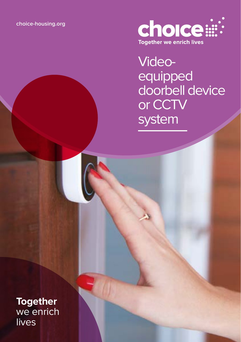

Videoequipped doorbell device or CCTV system

**Together** we enrich lives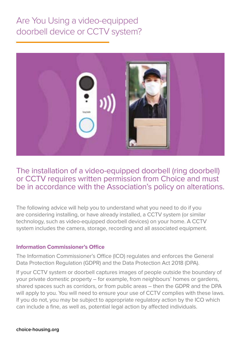# Are You Using a video-equipped doorbell device or CCTV system?



## The installation of a video-equipped doorbell (ring doorbell) or CCTV requires written permission from Choice and must be in accordance with the Association's policy on alterations.

The following advice will help you to understand what you need to do if you are considering installing, or have already installed, a CCTV system (or similar technology, such as video-equipped doorbell devices) on your home. A CCTV system includes the camera, storage, recording and all associated equipment.

#### **Information Commissioner's Office**

The Information Commissioner's Office (ICO) regulates and enforces the General Data Protection Regulation (GDPR) and the Data Protection Act 2018 (DPA).

If your CCTV system or doorbell captures images of people outside the boundary of your private domestic property – for example, from neighbours' homes or gardens, shared spaces such as corridors, or from public areas – then the GDPR and the DPA will apply to you. You will need to ensure your use of CCTV complies with these laws. If you do not, you may be subject to appropriate regulatory action by the ICO which can include a fine, as well as, potential legal action by affected individuals.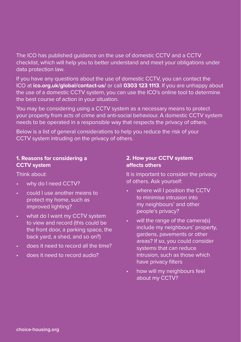The ICO has published guidance on the use of domestic CCTV and a CCTV checklist, which will help you to better understand and meet your obligations under data protection law.

If you have any questions about the use of domestic CCTV, you can contact the ICO at **ico.org.uk/global/contact-us/** or call **0303 123 1113**. If you are unhappy about the use of a domestic CCTV system, you can use the ICO's online tool to determine the best course of action in your situation.

You may be considering using a CCTV system as a necessary means to protect your property from acts of crime and anti-social behaviour. A domestic CCTV system needs to be operated in a responsible way that respects the privacy of others.

Below is a list of general considerations to help you reduce the risk of your CCTV system intruding on the privacy of others.

#### **1. Reasons for considering a CCTV system**

Think about:

- why do I need CCTV?
- could I use another means to protect my home, such as improved lighting?
- what do I want my CCTV system to view and record (this could be the front door, a parking space, the back yard, a shed, and so on?)
- does it need to record all the time?
- does it need to record audio?

#### **2. How your CCTV system affects others**

It is important to consider the privacy of others. Ask yourself:

- where will I position the CCTV to minimise intrusion into my neighbours' and other people's privacy?
- will the range of the camera(s) include my neighbours' property, gardens, pavements or other areas? If so, you could consider systems that can reduce intrusion, such as those which have privacy filters
- how will my neighbours feel about my CCTV?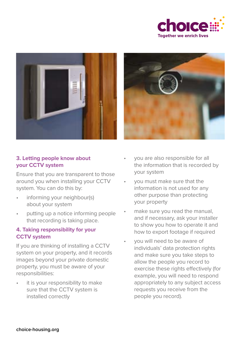





#### **3. Letting people know about your CCTV system**

Ensure that you are transparent to those around you when installing your CCTV system. You can do this by:

- informing your neighbour(s) about your system
- putting up a notice informing people that recording is taking place.

#### **4. Taking responsibility for your CCTV system**

If you are thinking of installing a CCTV system on your property, and it records images beyond your private domestic property, you must be aware of your responsibilities:

it is your responsibility to make sure that the CCTV system is installed correctly

- you are also responsible for all the information that is recorded by your system
- you must make sure that the information is not used for any other purpose than protecting your property
- make sure you read the manual, and if necessary, ask your installer to show you how to operate it and how to export footage if required
- you will need to be aware of individuals' data protection rights and make sure you take steps to allow the people you record to exercise these rights effectively (for example, you will need to respond appropriately to any subject access requests you receive from the people you record).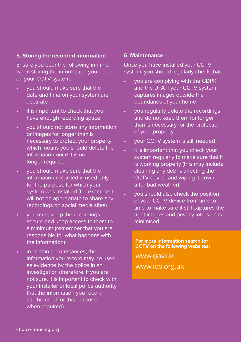#### **5. Storing the recorded information**

Ensure you bear the following in mind when storing the information you record on your CCTV system:

- you should make sure that the date and time on your system are accurate
- it is important to check that you have enough recording space
- you should not store any information or images for longer than is necessary to protect your property which means you should delete the information once it is no longer required
- you should make sure that the information recorded is used only for the purpose for which your system was installed (for example it will not be appropriate to share any recordings on social media sites)
- you must keep the recordings secure and keep access to them to a minimum (remember that you are responsible for what happens with the information)
- in certain circumstances, the information you record may be used as evidence by the police in an investigation (therefore, if you are not sure, it is important to check with your installer or local police authority that the information you record can be used for this purpose when required).

#### **6. Maintenance**

Once you have installed your CCTV system, you should regularly check that:

- you are complying with the GDPR and the DPA if your CCTV system captures images outside the boundaries of your home
- you regularly delete the recordings and do not keep them for longer than is necessary for the protection of your property
- your CCTV system is still needed
- it is important that you check your system regularly to make sure that it is working properly (this may include cleaning any debris affecting the CCTV device and wiping it down after bad weather)
- you should also check the position of your CCTV device from time to time to make sure it still captures the right images and privacy intrusion is minimised.

**For more information search for CCTV on the following websites:**

www.gov.uk www.ico.org.uk